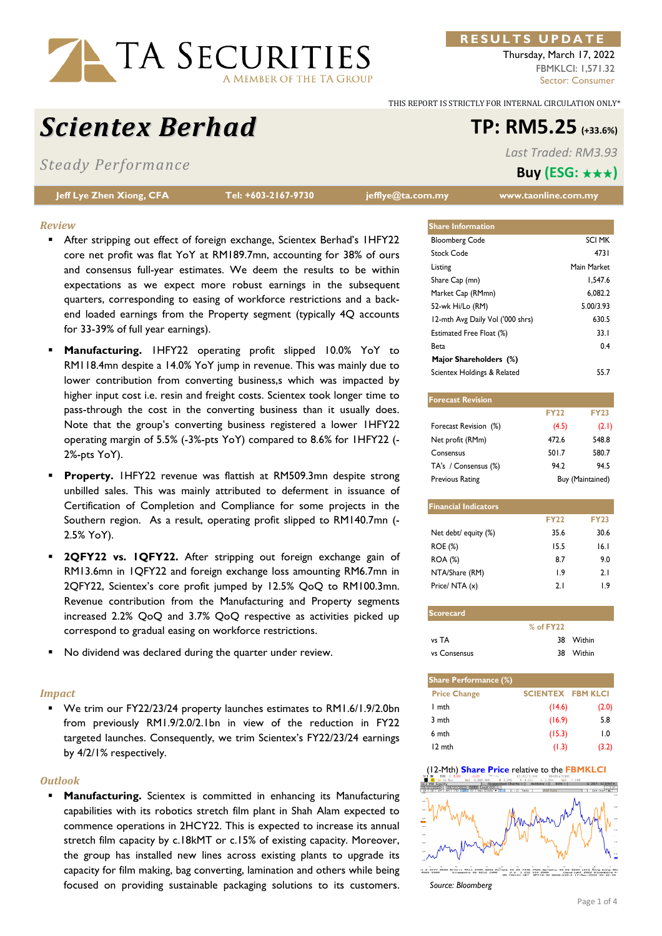

### **R E S U L T S U P D A T E**

Thursday, March 17, 2022 FBMKLCI: 1,571.32 Sector: Consumer

*Last Traded: RM3.93* **Buy (ESG:** ★★★**)**

THIS REPORT IS STRICTLY FOR INTERNAL CIRCULATION ONLY\*

# *Scientex Berhad* **TP: RM5.25 (+33.6%)**

*Steady Performance* 

**Jeff Lye Zhen Xiong, CFA Tel: +603-2167-9730 jefflye@ta.com.my www.taonline.com.my** 

| <b>Share Information</b>         |             |
|----------------------------------|-------------|
| <b>Bloomberg Code</b>            | SCI MK      |
| Stock Code                       | 4731        |
| Listing                          | Main Market |
| Share Cap (mn)                   | 1.547.6     |
| Market Cap (RMmn)                | 6.082.2     |
| 52-wk Hi/Lo (RM)                 | 5.00/3.93   |
| 12-mth Avg Daily Vol ('000 shrs) | 630.5       |
| Estimated Free Float (%)         | 33.1        |
| Beta                             | 0.4         |
| Major Shareholders (%)           |             |
| Scientex Holdings & Related      | 55.7        |

| <b>Forecast Revision</b> |             |                  |
|--------------------------|-------------|------------------|
|                          | <b>FY22</b> | <b>FY23</b>      |
| Forecast Revision (%)    | (4.5)       | (2.1)            |
| Net profit (RMm)         | 472.6       | 548.8            |
| Consensus                | 501.7       | 580.7            |
| TA's / Consensus (%)     | 94.2        | 94.5             |
| <b>Previous Rating</b>   |             | Buy (Maintained) |

| <b>Financial Indicators</b> |             |             |
|-----------------------------|-------------|-------------|
|                             | <b>FY22</b> | <b>FY23</b> |
| Net debt/ equity (%)        | 35.6        | 30.6        |
| ROE (%)                     | 15.5        | 16.1        |
| <b>ROA</b> (%)              | 8.7         | 9.0         |
| NTA/Share (RM)              | 19          | 2.1         |
| Price/ NTA (x)              | 2.1         | I 9         |

| <b>Scorecard</b> |               |           |
|------------------|---------------|-----------|
|                  | $%$ of $FY22$ |           |
| vs TA            |               | 38 Within |
| vs Consensus     |               | 38 Within |

| <b>Share Performance (%)</b> |                          |                  |
|------------------------------|--------------------------|------------------|
| <b>Price Change</b>          | <b>SCIENTEX FBM KLCI</b> |                  |
| I mth                        | (14.6)                   | (2.0)            |
| 3 mth                        | (16.9)                   | 5.8              |
| 6 mth                        | (15.3)                   | $\overline{1.0}$ |
| 12 mth                       | (1.3)                    | (3.2)            |



*Source: Bloomberg*

- *Review* 
	- After stripping out effect of foreign exchange, Scientex Berhad's 1HFY22 core net profit was flat YoY at RM189.7mn, accounting for 38% of ours and consensus full-year estimates. We deem the results to be within expectations as we expect more robust earnings in the subsequent quarters, corresponding to easing of workforce restrictions and a backend loaded earnings from the Property segment (typically 4Q accounts for 33-39% of full year earnings).
	- **Manufacturing.** 1HFY22 operating profit slipped 10.0% YoY to RM118.4mn despite a 14.0% YoY jump in revenue. This was mainly due to lower contribution from converting business,s which was impacted by higher input cost i.e. resin and freight costs. Scientex took longer time to pass-through the cost in the converting business than it usually does. Note that the group's converting business registered a lower 1HFY22 operating margin of 5.5% (-3%-pts YoY) compared to 8.6% for 1HFY22 (- 2%-pts YoY).
	- **Property.** 1HFY22 revenue was flattish at RM509.3mn despite strong unbilled sales. This was mainly attributed to deferment in issuance of Certification of Completion and Compliance for some projects in the Southern region. As a result, operating profit slipped to RM140.7mn (- 2.5% YoY).
	- **2QFY22 vs. 1QFY22.** After stripping out foreign exchange gain of RM13.6mn in 1QFY22 and foreign exchange loss amounting RM6.7mn in 2QFY22, Scientex's core profit jumped by 12.5% QoQ to RM100.3mn. Revenue contribution from the Manufacturing and Property segments increased 2.2% QoQ and 3.7% QoQ respective as activities picked up correspond to gradual easing on workforce restrictions.
	- No dividend was declared during the quarter under review.

#### *Impact*

 We trim our FY22/23/24 property launches estimates to RM1.6/1.9/2.0bn from previously RM1.9/2.0/2.1bn in view of the reduction in FY22 targeted launches. Consequently, we trim Scientex's FY22/23/24 earnings by 4/2/1% respectively.

#### *Outlook*

 **Manufacturing.** Scientex is committed in enhancing its Manufacturing capabilities with its robotics stretch film plant in Shah Alam expected to commence operations in 2HCY22. This is expected to increase its annual stretch film capacity by c.18kMT or c.15% of existing capacity. Moreover, the group has installed new lines across existing plants to upgrade its capacity for film making, bag converting, lamination and others while being focused on providing sustainable packaging solutions to its customers.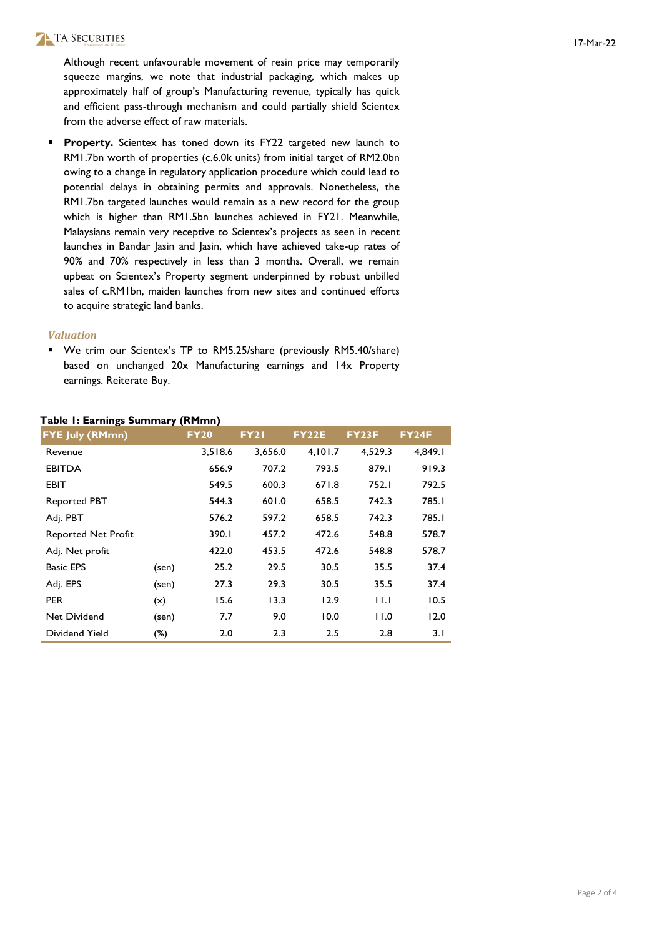# TA SECURITIES

Although recent unfavourable movement of resin price may temporarily squeeze margins, we note that industrial packaging, which makes up approximately half of group's Manufacturing revenue, typically has quick and efficient pass-through mechanism and could partially shield Scientex from the adverse effect of raw materials.

**Property.** Scientex has toned down its FY22 targeted new launch to RM1.7bn worth of properties (c.6.0k units) from initial target of RM2.0bn owing to a change in regulatory application procedure which could lead to potential delays in obtaining permits and approvals. Nonetheless, the RM1.7bn targeted launches would remain as a new record for the group which is higher than RM1.5bn launches achieved in FY21. Meanwhile, Malaysians remain very receptive to Scientex's projects as seen in recent launches in Bandar Jasin and Jasin, which have achieved take-up rates of 90% and 70% respectively in less than 3 months. Overall, we remain upbeat on Scientex's Property segment underpinned by robust unbilled sales of c.RM1bn, maiden launches from new sites and continued efforts to acquire strategic land banks.

#### *Valuation*

 We trim our Scientex's TP to RM5.25/share (previously RM5.40/share) based on unchanged 20x Manufacturing earnings and 14x Property earnings. Reiterate Buy.

|  | Table I: Earnings Summary (RMmn) |  |
|--|----------------------------------|--|
|  |                                  |  |

| <b>FYE July (RMmn)</b>     |       | <b>FY20</b> | <b>FY21</b> | <b>FY22E</b> | <b>FY23F</b> | <b>FY24F</b> |
|----------------------------|-------|-------------|-------------|--------------|--------------|--------------|
| Revenue                    |       | 3,518.6     | 3.656.0     | 4,101.7      | 4,529.3      | 4,849.1      |
| <b>EBITDA</b>              |       | 656.9       | 707.2       | 793.5        | 879.1        | 919.3        |
| EBIT                       |       | 549.5       | 600.3       | 671.8        | 752.1        | 792.5        |
| <b>Reported PBT</b>        |       | 544.3       | 601.0       | 658.5        | 742.3        | 785.I        |
| Adj. PBT                   |       | 576.2       | 597.2       | 658.5        | 742.3        | 785.I        |
| <b>Reported Net Profit</b> |       | 390.I       | 457.2       | 472.6        | 548.8        | 578.7        |
| Adj. Net profit            |       | 422.0       | 453.5       | 472.6        | 548.8        | 578.7        |
| <b>Basic EPS</b>           | (sen) | 25.2        | 29.5        | 30.5         | 35.5         | 37.4         |
| Adj. EPS                   | (sen) | 27.3        | 29.3        | 30.5         | 35.5         | 37.4         |
| <b>PER</b>                 | (x)   | 15.6        | 13.3        | 12.9         | 11.1         | 10.5         |
| Net Dividend               | (sen) | 7.7         | 9.0         | 10.0         | 11.0         | 12.0         |
| Dividend Yield             | (%)   | 2.0         | 2.3         | 2.5          | 2.8          | 3.1          |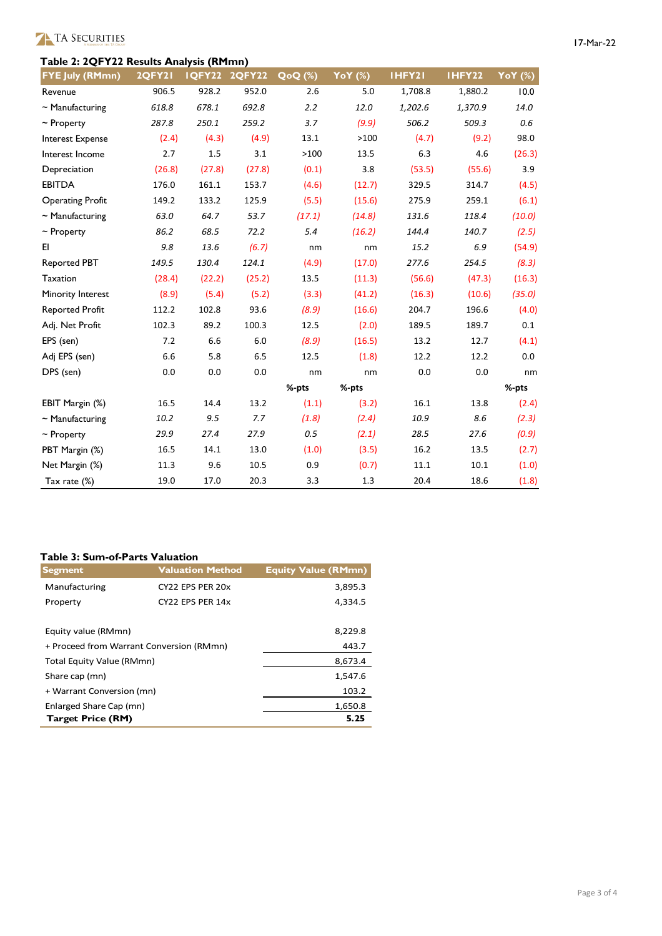# **Table 2: 2QFY22 Results Analysis (RMmn)**

| 17-Mar-22 |
|-----------|
|-----------|

| <b>FYE July (RMmn)</b>  | <b>2QFY21</b> | IQFY22 | <b>2QFY22</b> | QoQ (%) | YoY (%) | IHFY21  | IHFY22  | YoY (%) |
|-------------------------|---------------|--------|---------------|---------|---------|---------|---------|---------|
| Revenue                 | 906.5         | 928.2  | 952.0         | 2.6     | 5.0     | 1,708.8 | 1,880.2 | 10.0    |
| $\sim$ Manufacturing    | 618.8         | 678.1  | 692.8         | 2.2     | 12.0    | 1,202.6 | 1,370.9 | 14.0    |
| $\sim$ Property         | 287.8         | 250.1  | 259.2         | 3.7     | (9.9)   | 506.2   | 509.3   | 0.6     |
| <b>Interest Expense</b> | (2.4)         | (4.3)  | (4.9)         | 13.1    | >100    | (4.7)   | (9.2)   | 98.0    |
| Interest Income         | 2.7           | 1.5    | 3.1           | >100    | 13.5    | 6.3     | 4.6     | (26.3)  |
| Depreciation            | (26.8)        | (27.8) | (27.8)        | (0.1)   | 3.8     | (53.5)  | (55.6)  | 3.9     |
| <b>EBITDA</b>           | 176.0         | 161.1  | 153.7         | (4.6)   | (12.7)  | 329.5   | 314.7   | (4.5)   |
| <b>Operating Profit</b> | 149.2         | 133.2  | 125.9         | (5.5)   | (15.6)  | 275.9   | 259.1   | (6.1)   |
| $\sim$ Manufacturing    | 63.0          | 64.7   | 53.7          | (17.1)  | (14.8)  | 131.6   | 118.4   | (10.0)  |
| $\sim$ Property         | 86.2          | 68.5   | 72.2          | 5.4     | (16.2)  | 144.4   | 140.7   | (2.5)   |
| EI.                     | 9.8           | 13.6   | (6.7)         | nm      | nm      | 15.2    | 6.9     | (54.9)  |
| <b>Reported PBT</b>     | 149.5         | 130.4  | 124.1         | (4.9)   | (17.0)  | 277.6   | 254.5   | (8.3)   |
| Taxation                | (28.4)        | (22.2) | (25.2)        | 13.5    | (11.3)  | (56.6)  | (47.3)  | (16.3)  |
| Minority Interest       | (8.9)         | (5.4)  | (5.2)         | (3.3)   | (41.2)  | (16.3)  | (10.6)  | (35.0)  |
| <b>Reported Profit</b>  | 112.2         | 102.8  | 93.6          | (8.9)   | (16.6)  | 204.7   | 196.6   | (4.0)   |
| Adj. Net Profit         | 102.3         | 89.2   | 100.3         | 12.5    | (2.0)   | 189.5   | 189.7   | 0.1     |
| EPS (sen)               | 7.2           | 6.6    | 6.0           | (8.9)   | (16.5)  | 13.2    | 12.7    | (4.1)   |
| Adj EPS (sen)           | 6.6           | 5.8    | 6.5           | 12.5    | (1.8)   | 12.2    | 12.2    | 0.0     |
| DPS (sen)               | 0.0           | 0.0    | 0.0           | nm      | nm      | 0.0     | 0.0     | nm      |
|                         |               |        |               | %-pts   | %-pts   |         |         | %-pts   |
| EBIT Margin (%)         | 16.5          | 14.4   | 13.2          | (1.1)   | (3.2)   | 16.1    | 13.8    | (2.4)   |
| $\sim$ Manufacturing    | 10.2          | 9.5    | 7.7           | (1.8)   | (2.4)   | 10.9    | 8.6     | (2.3)   |
| $\sim$ Property         | 29.9          | 27.4   | 27.9          | 0.5     | (2.1)   | 28.5    | 27.6    | (0.9)   |
| PBT Margin (%)          | 16.5          | 14.1   | 13.0          | (1.0)   | (3.5)   | 16.2    | 13.5    | (2.7)   |
| Net Margin (%)          | 11.3          | 9.6    | 10.5          | 0.9     | (0.7)   | 11.1    | 10.1    | (1.0)   |
| Tax rate (%)            | 19.0          | 17.0   | 20.3          | 3.3     | 1.3     | 20.4    | 18.6    | (1.8)   |

# **Table 3: Sum-of-Parts Valuation**

| <b>Segment</b>                           | <b>Valuation Method</b> | <b>Equity Value (RMmn)</b> |
|------------------------------------------|-------------------------|----------------------------|
| Manufacturing                            | CY22 EPS PER 20x        | 3,895.3                    |
| Property                                 | CY22 EPS PER 14x        | 4,334.5                    |
|                                          |                         |                            |
| Equity value (RMmn)                      | 8,229.8                 |                            |
| + Proceed from Warrant Conversion (RMmn) | 443.7                   |                            |
| Total Equity Value (RMmn)                | 8,673.4                 |                            |
| Share cap (mn)                           | 1,547.6                 |                            |
| + Warrant Conversion (mn)                | 103.2                   |                            |
| Enlarged Share Cap (mn)                  | 1,650.8                 |                            |
| <b>Target Price (RM)</b>                 |                         | 5.25                       |